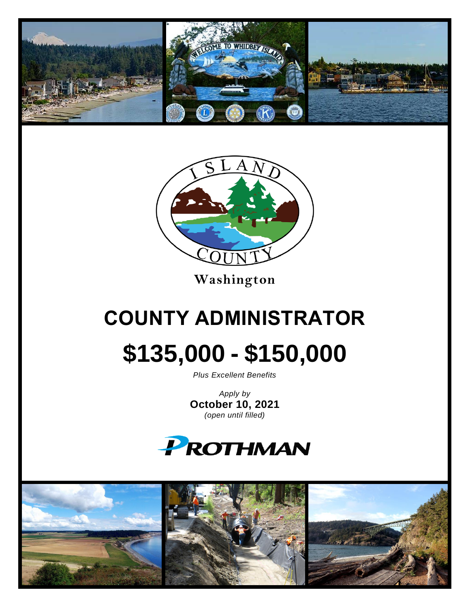



**Washington**

# **COUNTY ADMINISTRATOR \$135,000 - \$150,000**

*Plus Excellent Benefits*

*Apply by* **October 10, 2021** *(open until filled)*



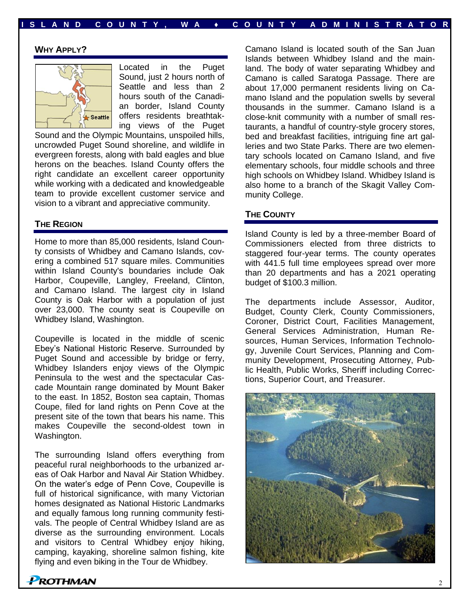# **I S L A ND C O U N T Y , W A ♦ C O U N T Y A D M I N I S T R A T O R**

## **WHY APPLY?**



Located in the Puget Sound, just 2 hours north of Seattle and less than 2 hours south of the Canadian border, Island County offers residents breathtaking views of the Puget

Sound and the Olympic Mountains, unspoiled hills, uncrowded Puget Sound shoreline, and wildlife in evergreen forests, along with bald eagles and blue herons on the beaches. Island County offers the right candidate an excellent career opportunity while working with a dedicated and knowledgeable team to provide excellent customer service and vision to a vibrant and appreciative community.

## **THE REGION**

Home to more than 85,000 residents, Island County consists of Whidbey and Camano Islands, covering a combined 517 square miles. Communities within Island County's boundaries include Oak Harbor, Coupeville, Langley, Freeland, Clinton, and Camano Island. The largest city in Island County is Oak Harbor with a population of just over 23,000. The county seat is Coupeville on Whidbey Island, Washington.

Coupeville is located in the middle of scenic Ebey's National Historic Reserve. Surrounded by Puget Sound and accessible by bridge or ferry, Whidbey Islanders enjoy views of the Olympic Peninsula to the west and the spectacular Cascade Mountain range dominated by Mount Baker to the east. In 1852, Boston sea captain, Thomas Coupe, filed for land rights on Penn Cove at the present site of the town that bears his name. This makes Coupeville the second-oldest town in Washington.

The surrounding Island offers everything from peaceful rural neighborhoods to the urbanized areas of Oak Harbor and Naval Air Station Whidbey. On the water's edge of Penn Cove, Coupeville is full of historical significance, with many Victorian homes designated as National Historic Landmarks and equally famous long running community festivals. The people of Central Whidbey Island are as diverse as the surrounding environment. Locals and visitors to Central Whidbey enjoy hiking, camping, kayaking, shoreline salmon fishing, kite flying and even biking in the Tour de Whidbey.

Camano Island is located south of the San Juan Islands between Whidbey Island and the mainland. The body of water separating Whidbey and Camano is called Saratoga Passage. There are about 17,000 permanent residents living on Camano Island and the population swells by several thousands in the summer. Camano Island is a close-knit community with a number of small restaurants, a handful of country-style grocery stores, bed and breakfast facilities, intriguing fine art galleries and two State Parks. There are two elementary schools located on Camano Island, and five elementary schools, four middle schools and three high schools on Whidbey Island. Whidbey Island is also home to a branch of the Skagit Valley Community College.

## **THE COUNTY**

Island County is led by a three-member Board of Commissioners elected from three districts to staggered four-year terms. The county operates with 441.5 full time employees spread over more than 20 departments and has a 2021 operating budget of \$100.3 million.

The departments include Assessor, Auditor, Budget, County Clerk, County Commissioners, Coroner, District Court, Facilities Management, General Services Administration, Human Resources, Human Services, Information Technology, Juvenile Court Services, Planning and Community Development, Prosecuting Attorney, Public Health, Public Works, Sheriff including Corrections, Superior Court, and Treasurer.

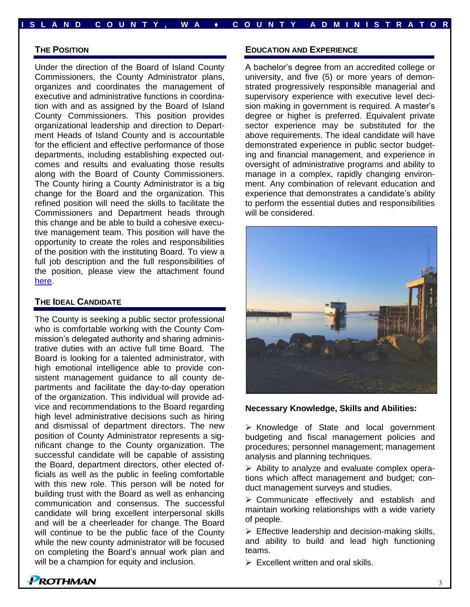#### **THE POSITION**

Under the direction of the Board of Island County Commissioners, the County Administrator plans, organizes and coordinates the management of executive and administrative functions in coordination with and as assigned by the Board of Island County Commissioners. This position provides organizational leadership and direction to Department Heads of Island County and is accountable for the efficient and effective performance of those departments, including establishing expected outcomes and results and evaluating those results along with the Board of County Commissioners. The County hiring a County Administrator is a big change for the Board and the organization. This refined position will need the skills to facilitate the Commissioners and Department heads through this change and be able to build a cohesive executive management team. This position will have the opportunity to create the roles and responsibilities of the position with the instituting Board. To view a full job description and the full responsibilities of the position, please view the attachment found [here.](https://prothman.com/JobFiles/2903/County%20Administrator%20Job%20Description.pdf)

## **THE IDEAL CANDIDATE**

The County is seeking a public sector professional who is comfortable working with the County Commission's delegated authority and sharing administrative duties with an active full time Board. The Board is looking for a talented administrator, with high emotional intelligence able to provide consistent management guidance to all county departments and facilitate the day-to-day operation of the organization. This individual will provide advice and recommendations to the Board regarding high level administrative decisions such as hiring and dismissal of department directors. The new position of County Administrator represents a significant change to the County organization. The successful candidate will be capable of assisting the Board, department directors, other elected officials as well as the public in feeling comfortable with this new role. This person will be noted for building trust with the Board as well as enhancing communication and consensus. The successful candidate will bring excellent interpersonal skills and will be a cheerleader for change. The Board will continue to be the public face of the County while the new county administrator will be focused on completing the Board's annual work plan and will be a champion for equity and inclusion.

#### **EDUCATION AND EXPERIENCE**

**I S L A ND C O U N T Y , W A ♦ C O U N T Y A D M I N I S T R A T O R**

A bachelor's degree from an accredited college or university, and five (5) or more years of demonstrated progressively responsible managerial and supervisory experience with executive level decision making in government is required. A master's degree or higher is preferred. Equivalent private sector experience may be substituted for the above requirements. The ideal candidate will have demonstrated experience in public sector budgeting and financial management, and experience in oversight of administrative programs and ability to manage in a complex, rapidly changing environment. Any combination of relevant education and experience that demonstrates a candidate's ability to perform the essential duties and responsibilities will be considered.



#### **Necessary Knowledge, Skills and Abilities:**

➢ Knowledge of State and local government budgeting and fiscal management policies and procedures; personnel management; management analysis and planning techniques.

➢ Ability to analyze and evaluate complex operations which affect management and budget; conduct management surveys and studies.

➢ Communicate effectively and establish and maintain working relationships with a wide variety of people.

 $\triangleright$  Effective leadership and decision-making skills, and ability to build and lead high functioning teams.

 $\triangleright$  Excellent written and oral skills.